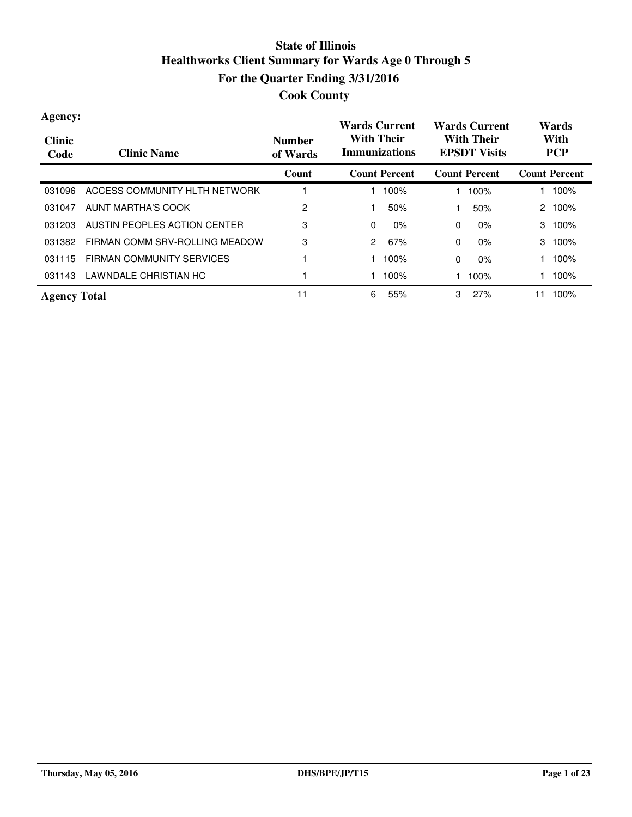| Agency:<br><b>Clinic</b><br>Code | <b>Clinic Name</b>             | <b>Number</b><br>of Wards | <b>Wards Current</b><br><b>With Their</b><br><b>Immunizations</b> | <b>Wards Current</b><br><b>With Their</b><br><b>EPSDT Visits</b> | Wards<br>With<br><b>PCP</b> |
|----------------------------------|--------------------------------|---------------------------|-------------------------------------------------------------------|------------------------------------------------------------------|-----------------------------|
|                                  |                                | Count                     | <b>Count Percent</b>                                              | <b>Count Percent</b>                                             | <b>Count Percent</b>        |
| 031096                           | ACCESS COMMUNITY HLTH NETWORK  |                           | 100%                                                              | 100%                                                             | 100%                        |
| 031047                           | AUNT MARTHA'S COOK             | 2                         | 50%                                                               | 50%                                                              | 100%<br>2                   |
| 031203                           | AUSTIN PEOPLES ACTION CENTER   | 3                         | $\mathbf{0}$<br>$0\%$                                             | 0<br>$0\%$                                                       | 100%<br>3                   |
| 031382                           | FIRMAN COMM SRV-ROLLING MEADOW | 3                         | 2<br>67%                                                          | $\mathbf{0}$<br>$0\%$                                            | 100%<br>3                   |
| 031115                           | FIRMAN COMMUNITY SERVICES      |                           | 100%                                                              | $\mathbf{0}$<br>$0\%$                                            | 100%                        |
| 031143                           | LAWNDALE CHRISTIAN HC          |                           | 100%                                                              | 100%                                                             | 100%                        |
| <b>Agency Total</b>              |                                | 11                        | 6<br>55%                                                          | 3<br>27%                                                         | 100%<br>1                   |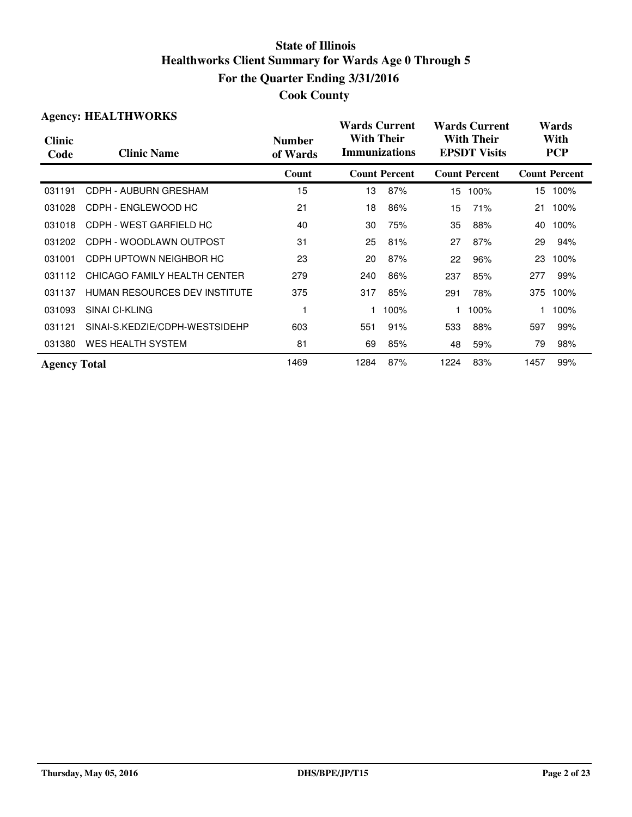| <b>Agency: HEALTHWORKS</b> |                                |                           | <b>Wards Current</b>                      |                      |                                          | <b>Wards Current</b> |                    | Wards                |  |
|----------------------------|--------------------------------|---------------------------|-------------------------------------------|----------------------|------------------------------------------|----------------------|--------------------|----------------------|--|
| <b>Clinic</b><br>Code      | <b>Clinic Name</b>             | <b>Number</b><br>of Wards | <b>With Their</b><br><b>Immunizations</b> |                      | <b>With Their</b><br><b>EPSDT Visits</b> |                      | With<br><b>PCP</b> |                      |  |
|                            |                                | Count                     |                                           | <b>Count Percent</b> |                                          | <b>Count Percent</b> |                    | <b>Count Percent</b> |  |
| 031191                     | CDPH - AUBURN GRESHAM          | 15                        | 13                                        | 87%                  | 15                                       | 100%                 |                    | 15 100%              |  |
| 031028                     | CDPH - ENGLEWOOD HC            | 21                        | 18                                        | 86%                  | 15                                       | 71%                  | 21                 | 100%                 |  |
| 031018                     | CDPH - WEST GARFIELD HC        | 40                        | 30                                        | 75%                  | 35                                       | 88%                  | 40                 | 100%                 |  |
| 031202                     | CDPH - WOODLAWN OUTPOST        | 31                        | 25                                        | 81%                  | 27                                       | 87%                  | 29                 | 94%                  |  |
| 031001                     | CDPH UPTOWN NEIGHBOR HC        | 23                        | 20                                        | 87%                  | 22                                       | 96%                  | 23                 | 100%                 |  |
| 031112                     | CHICAGO FAMILY HEALTH CENTER   | 279                       | 240                                       | 86%                  | 237                                      | 85%                  | 277                | 99%                  |  |
| 031137                     | HUMAN RESOURCES DEV INSTITUTE  | 375                       | 317                                       | 85%                  | 291                                      | 78%                  |                    | 375 100%             |  |
| 031093                     | SINAI CI-KLING                 |                           |                                           | 100%                 |                                          | 100%                 |                    | 100%                 |  |
| 031121                     | SINAI-S.KEDZIE/CDPH-WESTSIDEHP | 603                       | 551                                       | 91%                  | 533                                      | 88%                  | 597                | 99%                  |  |
| 031380                     | <b>WES HEALTH SYSTEM</b>       | 81                        | 69                                        | 85%                  | 48                                       | 59%                  | 79                 | 98%                  |  |
| <b>Agency Total</b>        |                                | 1469                      | 1284                                      | 87%                  | 1224                                     | 83%                  | 1457               | 99%                  |  |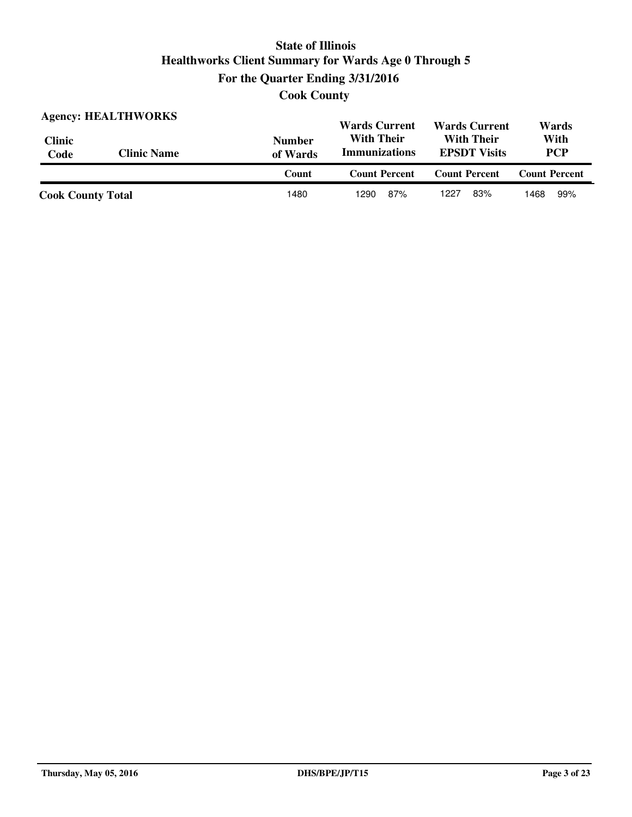**Cook County**

| <b>Agency: HEALTHWORKS</b> |                    |                           | <b>Wards Current</b><br><b>Wards Current</b>                                          |                      | Wards                |
|----------------------------|--------------------|---------------------------|---------------------------------------------------------------------------------------|----------------------|----------------------|
| <b>Clinic</b><br>Code      | <b>Clinic Name</b> | <b>Number</b><br>of Wards | <b>With Their</b><br><b>With Their</b><br><b>Immunizations</b><br><b>EPSDT</b> Visits |                      | With<br><b>PCP</b>   |
|                            |                    | Count                     | <b>Count Percent</b>                                                                  | <b>Count Percent</b> | <b>Count Percent</b> |
| <b>Cook County Total</b>   |                    | 1480                      | 87%<br>1290                                                                           | 83%<br>1227          | 99%<br>1468          |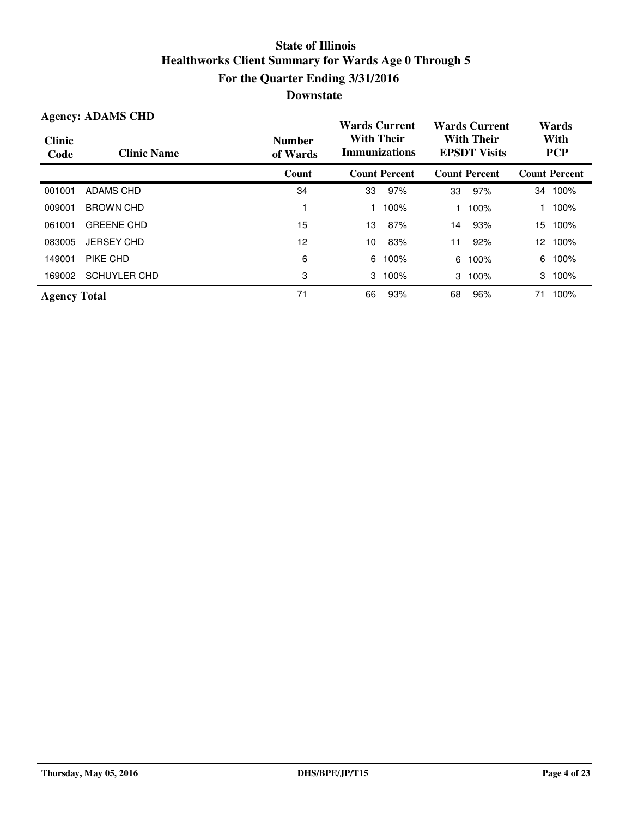| <b>Agency: ADAMS CHD</b> |                     |                           | <b>Wards Current</b>                      |                      | <b>Wards Current</b>                     |                      | Wards              |                      |
|--------------------------|---------------------|---------------------------|-------------------------------------------|----------------------|------------------------------------------|----------------------|--------------------|----------------------|
| <b>Clinic</b><br>Code    | <b>Clinic Name</b>  | <b>Number</b><br>of Wards | <b>With Their</b><br><b>Immunizations</b> |                      | <b>With Their</b><br><b>EPSDT Visits</b> |                      | With<br><b>PCP</b> |                      |
|                          |                     | Count                     |                                           | <b>Count Percent</b> |                                          | <b>Count Percent</b> |                    | <b>Count Percent</b> |
| 001001                   | <b>ADAMS CHD</b>    | 34                        | 33                                        | 97%                  | 33                                       | 97%                  | 34                 | 100%                 |
| 009001                   | <b>BROWN CHD</b>    |                           |                                           | 100%                 |                                          | 100%                 |                    | 100%                 |
| 061001                   | <b>GREENE CHD</b>   | 15                        | 13                                        | 87%                  | 14                                       | 93%                  | 15.                | 100%                 |
| 083005                   | <b>JERSEY CHD</b>   | 12                        | 10                                        | 83%                  | 11                                       | 92%                  |                    | 12 100%              |
| 149001                   | PIKE CHD            | 6                         | 6                                         | 100%                 | 6                                        | 100%                 | 6                  | 100%                 |
| 169002                   | <b>SCHUYLER CHD</b> | 3                         | 3                                         | 100%                 |                                          | 3 100%               | 3                  | 100%                 |
| <b>Agency Total</b>      |                     | 71                        | 66                                        | 93%                  | 68                                       | 96%                  | 71                 | 100%                 |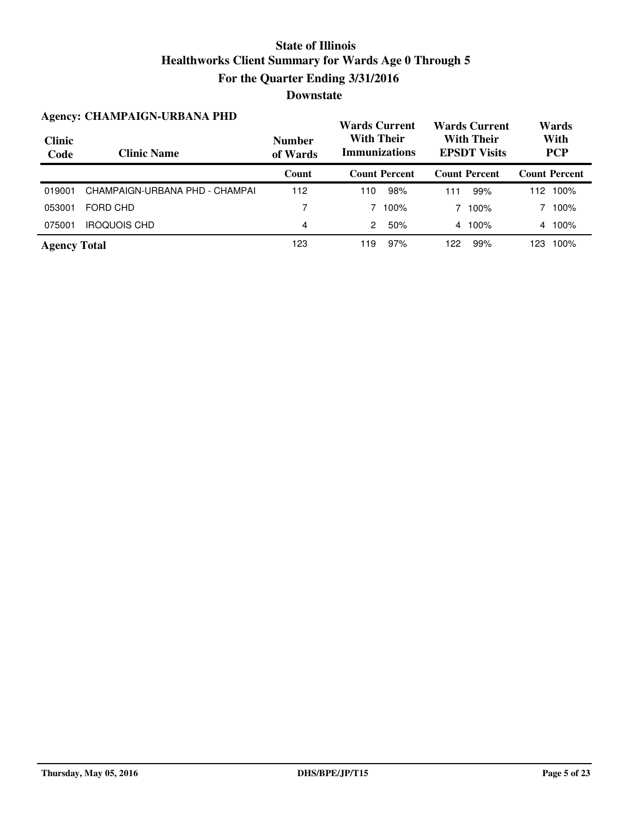|                       | <b>Agency: CHAMPAIGN-URBANA PHD</b> |                           | <b>Wards Current</b>                      |      | <b>Wards Current</b>                     |                      | Wards              |                      |
|-----------------------|-------------------------------------|---------------------------|-------------------------------------------|------|------------------------------------------|----------------------|--------------------|----------------------|
| <b>Clinic</b><br>Code | <b>Clinic Name</b>                  | <b>Number</b><br>of Wards | <b>With Their</b><br><b>Immunizations</b> |      | <b>With Their</b><br><b>EPSDT</b> Visits |                      | With<br><b>PCP</b> |                      |
|                       |                                     | Count                     | <b>Count Percent</b>                      |      |                                          | <b>Count Percent</b> |                    | <b>Count Percent</b> |
| 019001                | CHAMPAIGN-URBANA PHD - CHAMPAI      | 112                       | 110                                       | 98%  | 111                                      | 99%                  | 112                | 100%                 |
| 053001                | FORD CHD                            | 7                         |                                           | 100% |                                          | 100%                 |                    | 100%                 |
| 075001                | <b>IROQUOIS CHD</b>                 | 4                         | 2                                         | 50%  |                                          | 4 100%               |                    | 4 100%               |
| <b>Agency Total</b>   |                                     | 123                       | 119                                       | 97%  | 122                                      | 99%                  | 123                | 100%                 |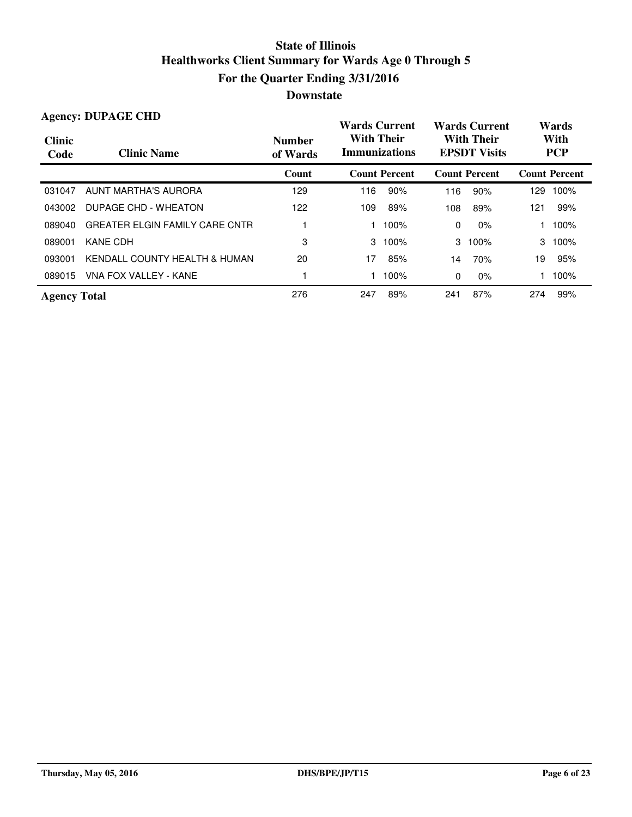|                       | <b>Agency: DUPAGE CHD</b>             |                           |                   | <b>Wards Current</b> |                                          | <b>Wards Current</b> | Wards |                      |                    |
|-----------------------|---------------------------------------|---------------------------|-------------------|----------------------|------------------------------------------|----------------------|-------|----------------------|--------------------|
| <b>Clinic</b><br>Code | <b>Clinic Name</b>                    | <b>Number</b><br>of Wards | <b>With Their</b> | <b>Immunizations</b> | <b>With Their</b><br><b>EPSDT Visits</b> |                      |       |                      | With<br><b>PCP</b> |
|                       |                                       | Count                     |                   | <b>Count Percent</b> |                                          | <b>Count Percent</b> |       | <b>Count Percent</b> |                    |
| 031047                | AUNT MARTHA'S AURORA                  | 129                       | 116               | 90%                  | 116                                      | 90%                  | 129   | 100%                 |                    |
| 043002                | DUPAGE CHD - WHEATON                  | 122                       | 109               | 89%                  | 108                                      | 89%                  | 121   | 99%                  |                    |
| 089040                | <b>GREATER ELGIN FAMILY CARE CNTR</b> |                           |                   | 100%                 | 0                                        | $0\%$                |       | 100%                 |                    |
| 089001                | KANE CDH                              | 3                         | 3                 | 100%                 | 3                                        | 100%                 | 3     | 100%                 |                    |
| 093001                | KENDALL COUNTY HEALTH & HUMAN         | 20                        | 17                | 85%                  | 14                                       | 70%                  | 19    | 95%                  |                    |
| 089015                | VNA FOX VALLEY - KANE                 |                           |                   | 100%                 | 0                                        | $0\%$                |       | 100%                 |                    |
| <b>Agency Total</b>   |                                       | 276                       | 247               | 89%                  | 241                                      | 87%                  | 274   | 99%                  |                    |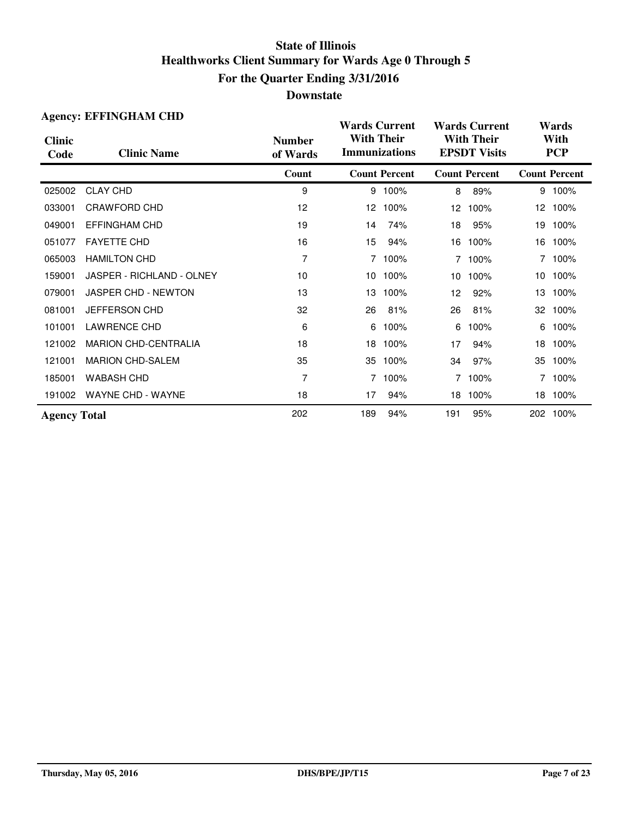|                       | <b>Agency: EFFINGHAM CHD</b> |                           | <b>Wards Current</b>                      |                      |                                          | <b>Wards Current</b> | Wards              |                      |  |
|-----------------------|------------------------------|---------------------------|-------------------------------------------|----------------------|------------------------------------------|----------------------|--------------------|----------------------|--|
| <b>Clinic</b><br>Code | <b>Clinic Name</b>           | <b>Number</b><br>of Wards | <b>With Their</b><br><b>Immunizations</b> |                      | <b>With Their</b><br><b>EPSDT Visits</b> |                      | With<br><b>PCP</b> |                      |  |
|                       |                              | Count                     |                                           | <b>Count Percent</b> |                                          | <b>Count Percent</b> |                    | <b>Count Percent</b> |  |
| 025002                | <b>CLAY CHD</b>              | 9                         |                                           | 9 100%               | 8                                        | 89%                  |                    | 9 100%               |  |
| 033001                | CRAWFORD CHD                 | 12                        | 12                                        | 100%                 | 12                                       | 100%                 |                    | 12 100%              |  |
| 049001                | <b>EFFINGHAM CHD</b>         | 19                        | 14                                        | 74%                  | 18                                       | 95%                  | 19                 | 100%                 |  |
| 051077                | <b>FAYETTE CHD</b>           | 16                        | 15                                        | 94%                  | 16                                       | 100%                 |                    | 16 100%              |  |
| 065003                | <b>HAMILTON CHD</b>          | 7                         | 7                                         | 100%                 | $7^{\circ}$                              | 100%                 |                    | 7 100%               |  |
| 159001                | JASPER - RICHLAND - OLNEY    | 10                        | 10                                        | 100%                 | 10                                       | 100%                 |                    | 10 100%              |  |
| 079001                | JASPER CHD - NEWTON          | 13                        | 13                                        | 100%                 | 12                                       | 92%                  | 13                 | 100%                 |  |
| 081001                | JEFFERSON CHD                | 32                        | 26                                        | 81%                  | 26                                       | 81%                  |                    | 32 100%              |  |
| 101001                | <b>LAWRENCE CHD</b>          | 6                         | 6                                         | 100%                 | 6                                        | 100%                 | 6                  | 100%                 |  |
| 121002                | <b>MARION CHD-CENTRALIA</b>  | 18                        | 18                                        | 100%                 | 17                                       | 94%                  | 18                 | 100%                 |  |
| 121001                | <b>MARION CHD-SALEM</b>      | 35                        | 35                                        | 100%                 | 34                                       | 97%                  | 35                 | 100%                 |  |
| 185001                | <b>WABASH CHD</b>            | 7                         | 7                                         | 100%                 | $\overline{7}$                           | 100%                 | 7                  | 100%                 |  |
| 191002                | <b>WAYNE CHD - WAYNE</b>     | 18                        | 17                                        | 94%                  | 18                                       | 100%                 |                    | 18 100%              |  |
| <b>Agency Total</b>   |                              | 202                       | 189                                       | 94%                  | 191                                      | 95%                  |                    | 202 100%             |  |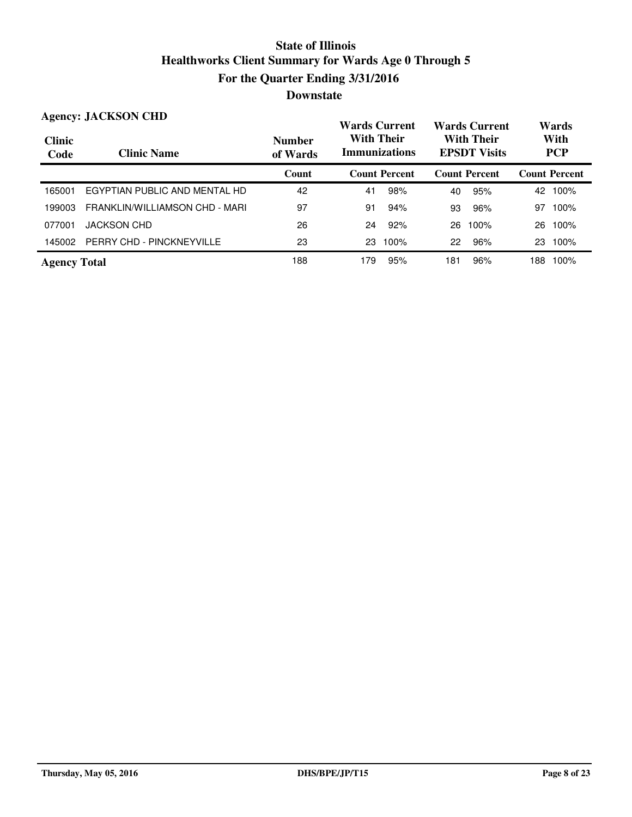#### **Wards Current With Their Immunizations Wards Current With Their EPSDT Visits Clinic Code Clinic Name Number of Wards Count Count Percent Count Percent Count Percent Agency: JACKSON CHD Wards With PCP** 165001 EGYPTIAN PUBLIC AND MENTAL HD 42 42 41 98% 40 95% 42 100% 199003 FRANKLIN/WILLIAMSON CHD - MARI 97 97 91 94% 93 96% 97 100% 077001 JACKSON CHD 26 24 92% 26 100% 26 100% 145002 PERRY CHD - PINCKNEYVILLE 23 23 100% 22 96% 23 100% Agency Total **188** 188 179 95% 181 96% 188 100%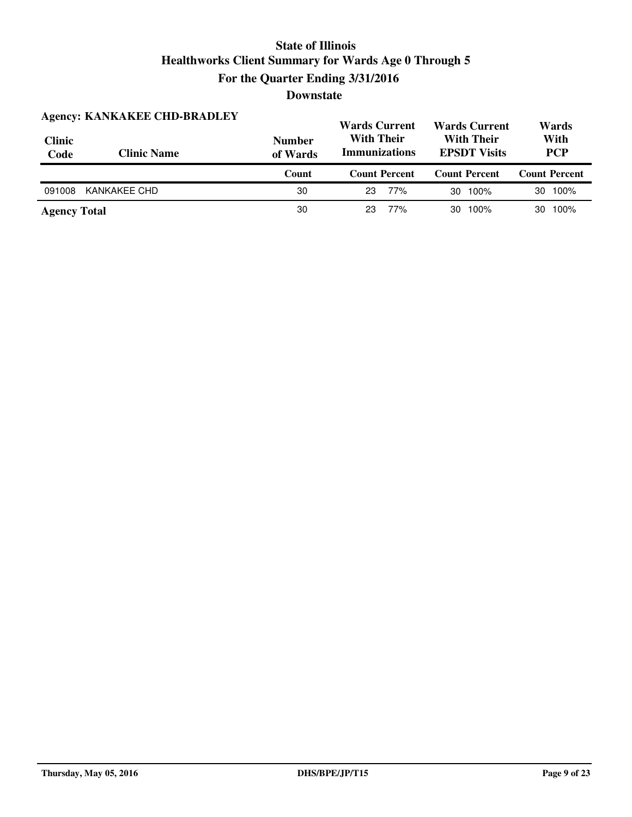| <b>Agency: KANKAKEE CHD-BRADLEY</b> |                    |                           | <b>Wards Current</b>                      | <b>Wards Current</b>                     | Wards                |  |
|-------------------------------------|--------------------|---------------------------|-------------------------------------------|------------------------------------------|----------------------|--|
| <b>Clinic</b><br>Code               | <b>Clinic Name</b> | <b>Number</b><br>of Wards | <b>With Their</b><br><b>Immunizations</b> | <b>With Their</b><br><b>EPSDT Visits</b> | With<br><b>PCP</b>   |  |
|                                     |                    |                           |                                           |                                          |                      |  |
|                                     |                    | Count                     | <b>Count Percent</b>                      | <b>Count Percent</b>                     | <b>Count Percent</b> |  |
| 091008                              | KANKAKEE CHD       | 30                        | 77%<br>23                                 | 100%<br>30                               | 100%<br>30           |  |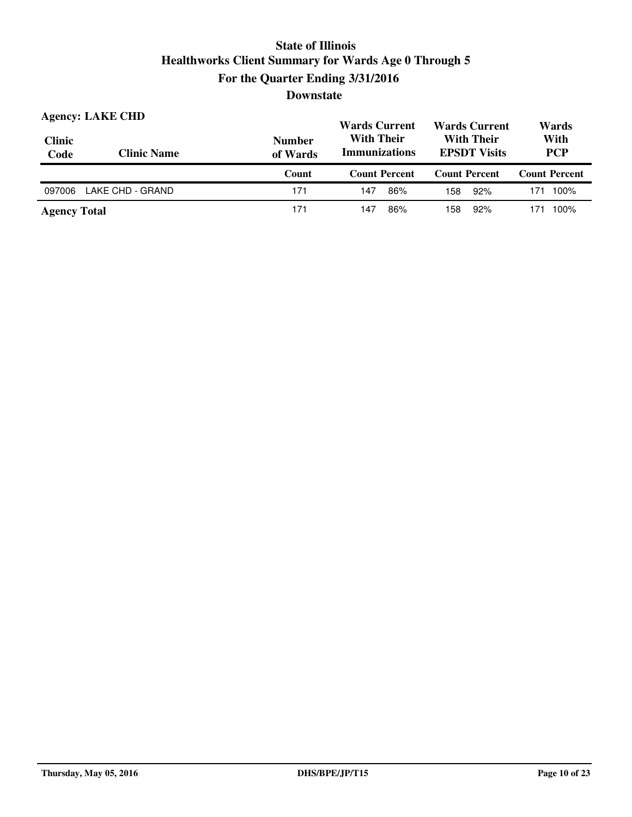| <b>Agency: LAKE CHD</b><br><b>Clinic</b><br>Code | <b>Clinic Name</b> | <b>Number</b><br>of Wards | <b>Wards Current</b><br><b>Wards Current</b><br><b>With Their</b><br><b>With Their</b><br><b>Immunizations</b><br><b>EPSDT Visits</b> |                      | Wards<br>With<br><b>PCP</b> |  |
|--------------------------------------------------|--------------------|---------------------------|---------------------------------------------------------------------------------------------------------------------------------------|----------------------|-----------------------------|--|
|                                                  |                    | Count                     | <b>Count Percent</b>                                                                                                                  | <b>Count Percent</b> | <b>Count Percent</b>        |  |
|                                                  |                    |                           |                                                                                                                                       |                      |                             |  |
| 097006                                           | LAKE CHD - GRAND   | 171                       | 86%<br>147                                                                                                                            | 92%<br>158           | 100%<br>171                 |  |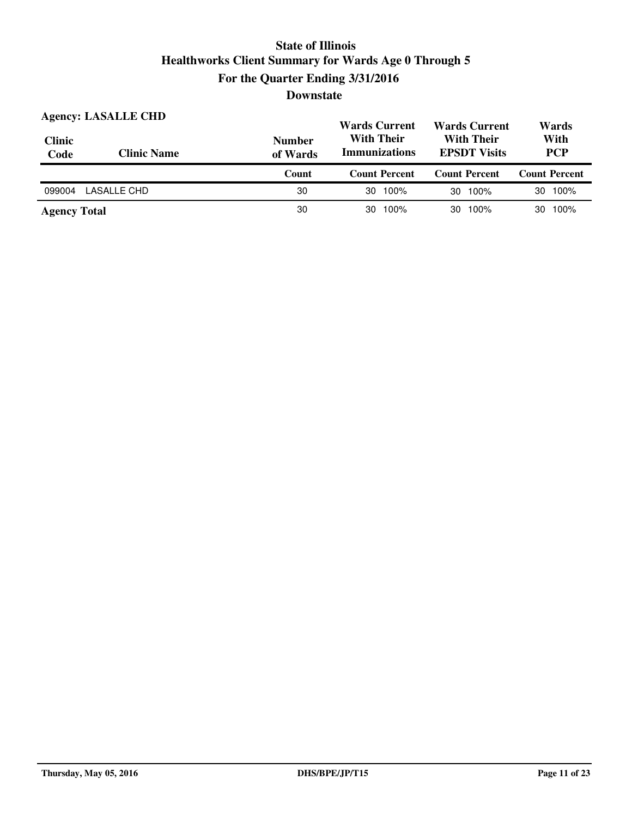| <b>Clinic</b><br>Code | <b>Agency: LASALLE CHD</b><br><b>Clinic Name</b> | <b>Number</b><br>of Wards | <b>Wards Current</b><br><b>Wards Current</b><br><b>With Their</b><br><b>With Their</b><br><b>Immunizations</b><br><b>EPSDT Visits</b> |                      | Wards<br>With<br><b>PCP</b> |  |
|-----------------------|--------------------------------------------------|---------------------------|---------------------------------------------------------------------------------------------------------------------------------------|----------------------|-----------------------------|--|
|                       |                                                  | Count                     | <b>Count Percent</b>                                                                                                                  | <b>Count Percent</b> | <b>Count Percent</b>        |  |
| 099004                | LASALLE CHD                                      | 30                        | 100%<br>30                                                                                                                            | 30 100%              | 30 100%                     |  |
|                       |                                                  |                           |                                                                                                                                       |                      |                             |  |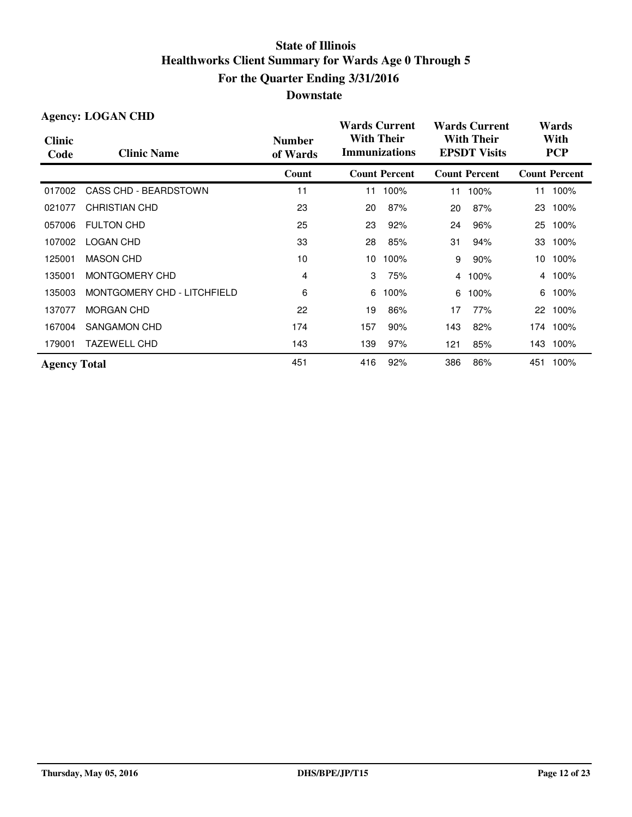|                       | <b>Agency: LOGAN CHD</b>    |                           | <b>Wards Current</b>                      |                      |                                          | <b>Wards Current</b> | Wards              |                      |
|-----------------------|-----------------------------|---------------------------|-------------------------------------------|----------------------|------------------------------------------|----------------------|--------------------|----------------------|
| <b>Clinic</b><br>Code | <b>Clinic Name</b>          | <b>Number</b><br>of Wards | <b>With Their</b><br><b>Immunizations</b> |                      | <b>With Their</b><br><b>EPSDT Visits</b> |                      | With<br><b>PCP</b> |                      |
|                       |                             | Count                     |                                           | <b>Count Percent</b> |                                          | <b>Count Percent</b> |                    | <b>Count Percent</b> |
| 017002                | CASS CHD - BEARDSTOWN       | 11                        | 11                                        | 100%                 | 11                                       | 100%                 | 11                 | 100%                 |
| 021077                | <b>CHRISTIAN CHD</b>        | 23                        | 20                                        | 87%                  | 20                                       | 87%                  | 23                 | 100%                 |
| 057006                | <b>FULTON CHD</b>           | 25                        | 23                                        | 92%                  | 24                                       | 96%                  | 25                 | 100%                 |
| 107002                | <b>LOGAN CHD</b>            | 33                        | 28                                        | 85%                  | 31                                       | 94%                  | 33                 | 100%                 |
| 125001                | <b>MASON CHD</b>            | 10                        | 10                                        | 100%                 | 9                                        | 90%                  | 10                 | 100%                 |
| 135001                | MONTGOMERY CHD              | 4                         | 3                                         | 75%                  | $\overline{4}$                           | 100%                 |                    | 4 100%               |
| 135003                | MONTGOMERY CHD - LITCHFIELD | 6                         | 6                                         | 100%                 | 6                                        | 100%                 | 6                  | 100%                 |
| 137077                | <b>MORGAN CHD</b>           | 22                        | 19                                        | 86%                  | 17                                       | 77%                  |                    | 22 100%              |
| 167004                | SANGAMON CHD                | 174                       | 157                                       | 90%                  | 143                                      | 82%                  |                    | 174 100%             |
| 179001                | <b>TAZEWELL CHD</b>         | 143                       | 139                                       | 97%                  | 121                                      | 85%                  | 143                | 100%                 |
| <b>Agency Total</b>   |                             | 451                       | 416                                       | 92%                  | 386                                      | 86%                  | 451                | 100%                 |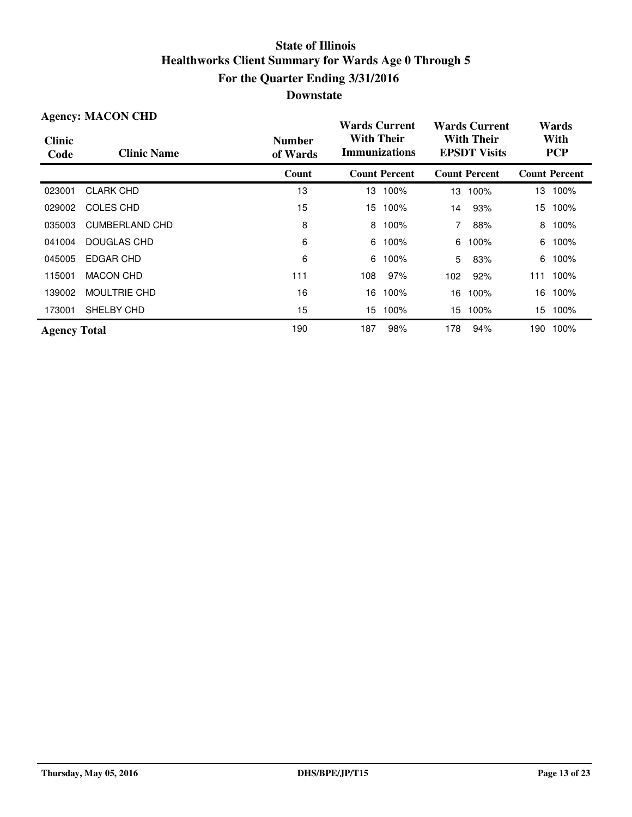| <b>Agency: MACON CHD</b> |                     |                           | <b>Wards Current</b>                      |                      |                                          | <b>Wards Current</b> |                    | Wards                |  |
|--------------------------|---------------------|---------------------------|-------------------------------------------|----------------------|------------------------------------------|----------------------|--------------------|----------------------|--|
| <b>Clinic</b><br>Code    | <b>Clinic Name</b>  | <b>Number</b><br>of Wards | <b>With Their</b><br><b>Immunizations</b> |                      | <b>With Their</b><br><b>EPSDT Visits</b> |                      | With<br><b>PCP</b> |                      |  |
|                          |                     | Count                     |                                           | <b>Count Percent</b> |                                          | <b>Count Percent</b> |                    | <b>Count Percent</b> |  |
| 023001                   | <b>CLARK CHD</b>    | 13                        | 13.                                       | 100%                 | 13                                       | 100%                 |                    | 13 100%              |  |
| 029002                   | <b>COLES CHD</b>    | 15                        | 15                                        | 100%                 | 14                                       | 93%                  | 15                 | 100%                 |  |
| 035003                   | CUMBERLAND CHD      | 8                         | 8                                         | 100%                 | 7                                        | 88%                  | 8                  | 100%                 |  |
| 041004                   | DOUGLAS CHD         | 6                         | 6                                         | 100%                 | 6                                        | 100%                 | 6                  | 100%                 |  |
| 045005                   | EDGAR CHD           | 6                         | 6                                         | 100%                 | 5                                        | 83%                  | 6                  | 100%                 |  |
| 115001                   | <b>MACON CHD</b>    | 111                       | 108                                       | 97%                  | 102                                      | 92%                  | 111                | 100%                 |  |
| 139002                   | <b>MOULTRIE CHD</b> | 16                        | 16                                        | 100%                 | 16                                       | 100%                 | 16                 | 100%                 |  |
| 173001                   | SHELBY CHD          | 15                        | 15                                        | 100%                 | 15.                                      | 100%                 | 15                 | 100%                 |  |
| <b>Agency Total</b>      |                     | 190                       | 187                                       | 98%                  | 178                                      | 94%                  | 190                | 100%                 |  |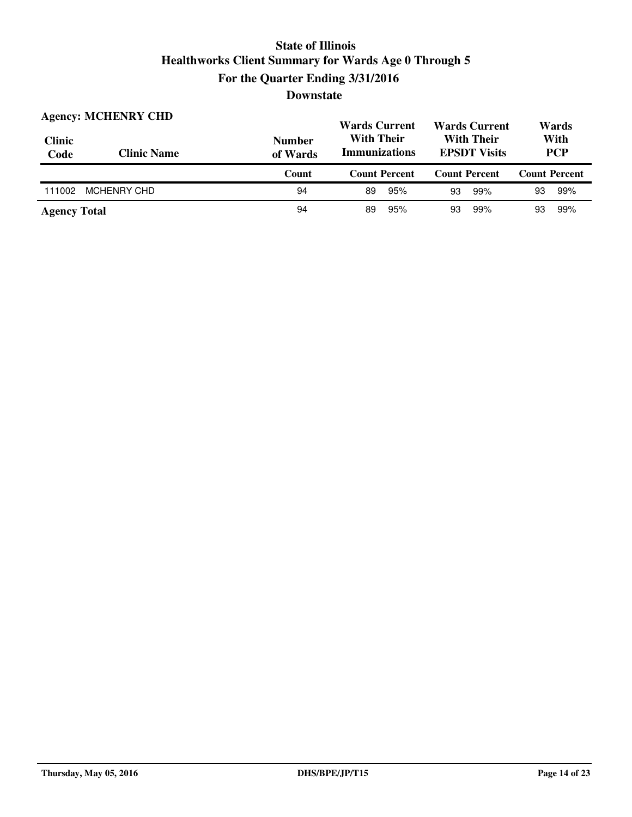| <b>Clinic</b><br>Code | <b>Agency: MCHENRY CHD</b><br><b>Clinic Name</b> | <b>Number</b><br>of Wards | <b>Wards Current</b><br><b>With Their</b><br><b>Immunizations</b> | <b>Wards Current</b><br><b>With Their</b><br><b>EPSDT Visits</b> | Wards<br>With<br><b>PCP</b> |  |
|-----------------------|--------------------------------------------------|---------------------------|-------------------------------------------------------------------|------------------------------------------------------------------|-----------------------------|--|
|                       |                                                  | Count                     | <b>Count Percent</b>                                              | <b>Count Percent</b>                                             | <b>Count Percent</b>        |  |
| 111002                | <b>MCHENRY CHD</b>                               | 94                        | 95%<br>89                                                         | 99%<br>93                                                        | 93<br>99%                   |  |
| <b>Agency Total</b>   |                                                  | 94                        | 95%<br>89                                                         | 99%<br>93                                                        | 99%<br>93                   |  |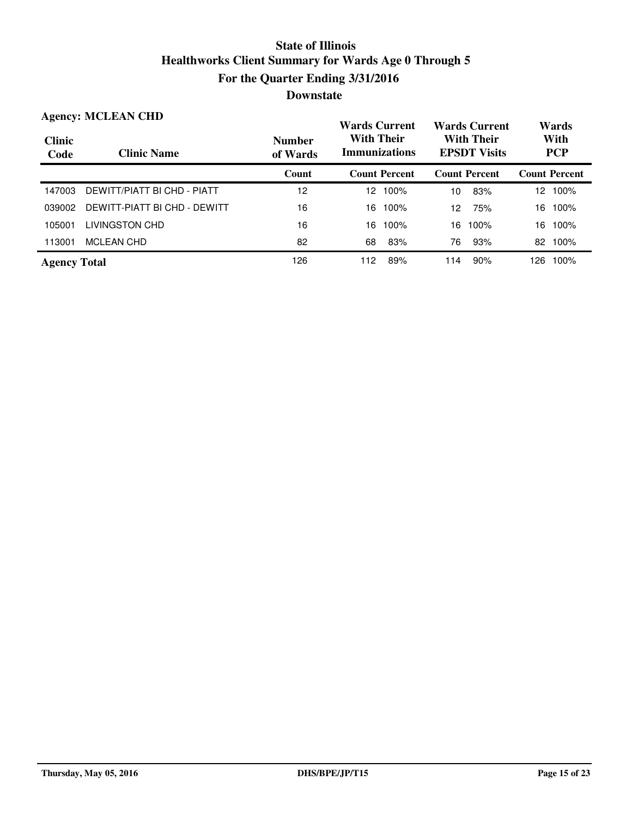| <b>Agency: MCLEAN CHD</b> |                              |                           | <b>Wards Current</b>                      | <b>Wards Current</b>                     | Wards                |
|---------------------------|------------------------------|---------------------------|-------------------------------------------|------------------------------------------|----------------------|
| <b>Clinic</b><br>Code     | <b>Clinic Name</b>           | <b>Number</b><br>of Wards | <b>With Their</b><br><b>Immunizations</b> | <b>With Their</b><br><b>EPSDT</b> Visits | With<br><b>PCP</b>   |
|                           |                              | Count                     | <b>Count Percent</b>                      | <b>Count Percent</b>                     | <b>Count Percent</b> |
| 147003                    | DEWITT/PIATT BI CHD - PIATT  | $12 \overline{ }$         | 12 100%                                   | 83%<br>10                                | 100%<br>12           |
| 039002                    | DEWITT-PIATT BI CHD - DEWITT | 16                        | 16<br>100%                                | 75%<br>12                                | 100%<br>16           |
| 105001                    | LIVINGSTON CHD               | 16                        | 16<br>100%                                | 100%<br>16                               | 100%<br>16           |
| 113001                    | MCLEAN CHD                   | 82                        | 83%<br>68                                 | 93%<br>76                                | 100%<br>82           |
| <b>Agency Total</b>       |                              | 126                       | 89%<br>112                                | 90%<br>114                               | 100%<br>126.         |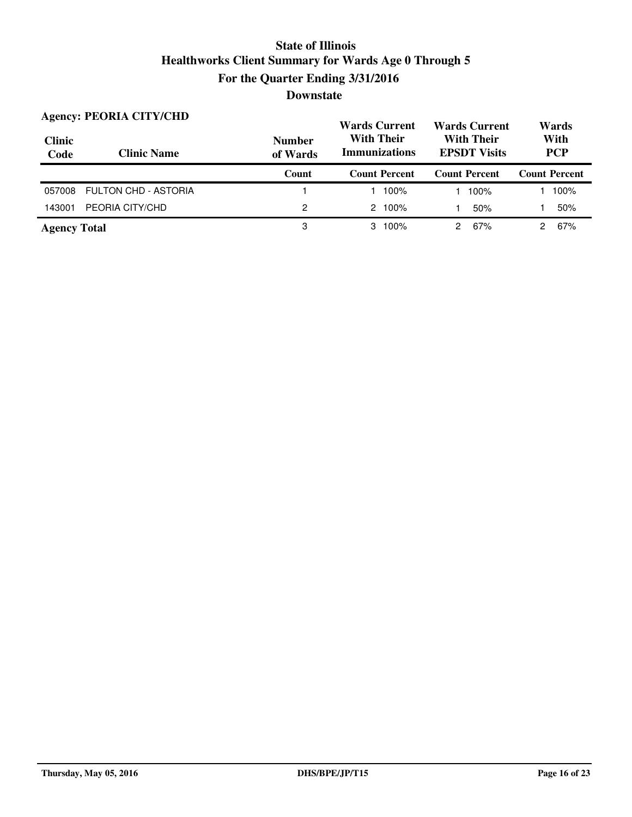| <b>Clinic</b><br>Code | <b>Agency: PEORIA CITY/CHD</b><br><b>Clinic Name</b> | <b>Number</b><br>of Wards | <b>Wards Current</b><br><b>With Their</b><br><b>Immunizations</b> | <b>Wards Current</b><br><b>With Their</b><br><b>EPSDT Visits</b> | Wards<br>With<br><b>PCP</b> |  |
|-----------------------|------------------------------------------------------|---------------------------|-------------------------------------------------------------------|------------------------------------------------------------------|-----------------------------|--|
|                       |                                                      | Count                     | <b>Count Percent</b>                                              | <b>Count Percent</b>                                             | <b>Count Percent</b>        |  |
| 057008                | FULTON CHD - ASTORIA                                 |                           | 100%                                                              | 100%                                                             | 100%                        |  |
| 143001                | PEORIA CITY/CHD                                      | 2                         | $2.100\%$                                                         | 50%                                                              | 50%                         |  |
| <b>Agency Total</b>   |                                                      | 3                         | 100%<br>3                                                         | 67%                                                              | 67%                         |  |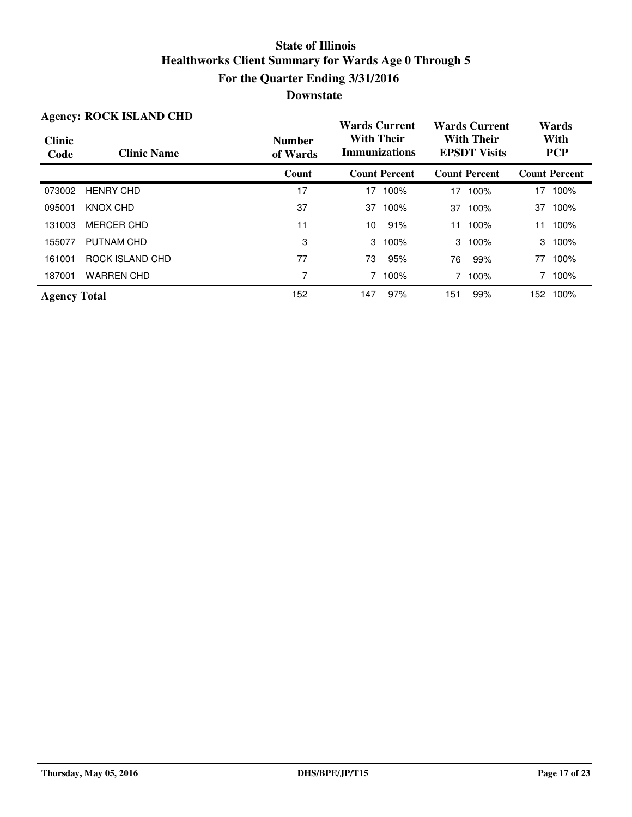|                       | <b>Agency: ROCK ISLAND CHD</b> |                           | <b>Wards Current</b>                      |                      |                                          | <b>Wards Current</b> |     | Wards                |
|-----------------------|--------------------------------|---------------------------|-------------------------------------------|----------------------|------------------------------------------|----------------------|-----|----------------------|
| <b>Clinic</b><br>Code | <b>Clinic Name</b>             | <b>Number</b><br>of Wards | <b>With Their</b><br><b>Immunizations</b> |                      | <b>With Their</b><br><b>EPSDT Visits</b> |                      |     | With<br><b>PCP</b>   |
|                       |                                | Count                     |                                           | <b>Count Percent</b> |                                          | <b>Count Percent</b> |     | <b>Count Percent</b> |
| 073002                | <b>HENRY CHD</b>               | 17                        | 17                                        | 100%                 | 17                                       | 100%                 | 17  | 100%                 |
| 095001                | KNOX CHD                       | 37                        | 37                                        | 100%                 | 37                                       | 100%                 | 37  | 100%                 |
| 131003                | <b>MERCER CHD</b>              | 11                        | 10                                        | 91%                  | 11                                       | 100%                 | 11  | 100%                 |
| 155077                | PUTNAM CHD                     | 3                         | 3                                         | 100%                 |                                          | 3 100%               |     | 3 100%               |
| 161001                | ROCK ISLAND CHD                | 77                        | 73                                        | 95%                  | 76                                       | 99%                  | 77  | 100%                 |
| 187001                | <b>WARREN CHD</b>              | 7                         | 7.                                        | 100%                 |                                          | 7 100%               |     | 100%                 |
| <b>Agency Total</b>   |                                | 152                       | 147                                       | 97%                  | 151                                      | 99%                  | 152 | 100%                 |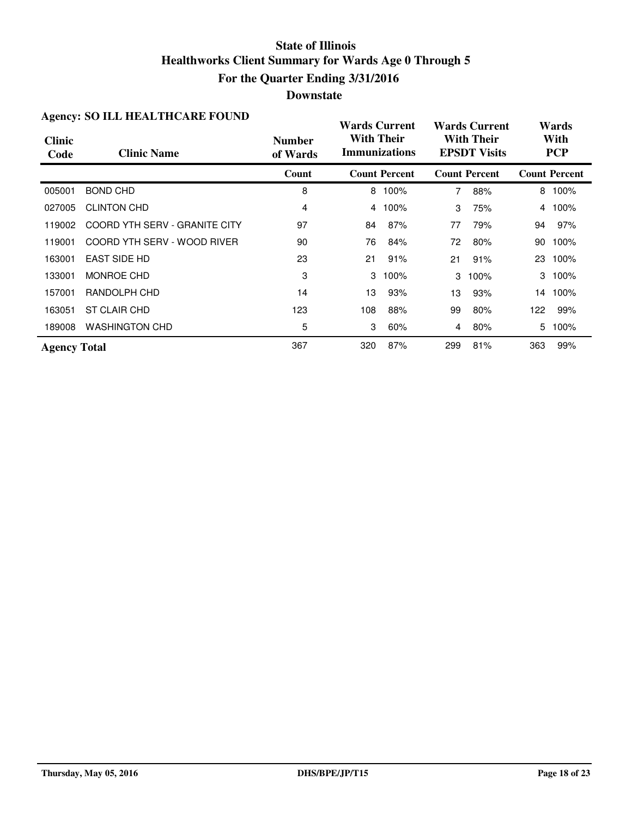### **Downstate**

| Agency. BO TELL HEALTHCARE FOUND |                               |                           | <b>Wards Current</b>                      |                      |                                          | <b>Wards Current</b> | Wards |                      |  |
|----------------------------------|-------------------------------|---------------------------|-------------------------------------------|----------------------|------------------------------------------|----------------------|-------|----------------------|--|
| <b>Clinic</b><br>Code            | <b>Clinic Name</b>            | <b>Number</b><br>of Wards | <b>With Their</b><br><b>Immunizations</b> |                      | <b>With Their</b><br><b>EPSDT Visits</b> |                      |       | With<br><b>PCP</b>   |  |
|                                  |                               | Count                     |                                           | <b>Count Percent</b> |                                          | <b>Count Percent</b> |       | <b>Count Percent</b> |  |
| 005001                           | <b>BOND CHD</b>               | 8                         | 8                                         | 100%                 | 7                                        | 88%                  | 8     | 100%                 |  |
| 027005                           | <b>CLINTON CHD</b>            | 4                         | 4                                         | 100%                 | 3                                        | 75%                  | 4     | 100%                 |  |
| 119002                           | COORD YTH SERV - GRANITE CITY | 97                        | 84                                        | 87%                  | 77                                       | 79%                  | 94    | 97%                  |  |
| 119001                           | COORD YTH SERV - WOOD RIVER   | 90                        | 76                                        | 84%                  | 72                                       | 80%                  | 90    | 100%                 |  |
| 163001                           | <b>EAST SIDE HD</b>           | 23                        | 21                                        | 91%                  | 21                                       | 91%                  | 23    | 100%                 |  |
| 133001                           | MONROE CHD                    | 3                         | 3                                         | 100%                 | 3                                        | 100%                 | 3     | 100%                 |  |
| 157001                           | RANDOLPH CHD                  | 14                        | 13                                        | 93%                  | 13                                       | 93%                  |       | 14 100%              |  |
| 163051                           | ST CLAIR CHD                  | 123                       | 108                                       | 88%                  | 99                                       | 80%                  | 122   | 99%                  |  |
| 189008                           | <b>WASHINGTON CHD</b>         | 5                         | 3                                         | 60%                  | 4                                        | 80%                  | 5     | 100%                 |  |
| <b>Agency Total</b>              |                               | 367                       | 320                                       | 87%                  | 299                                      | 81%                  | 363   | 99%                  |  |

#### **Agency: SO ILL HEALTHCARE FOUND**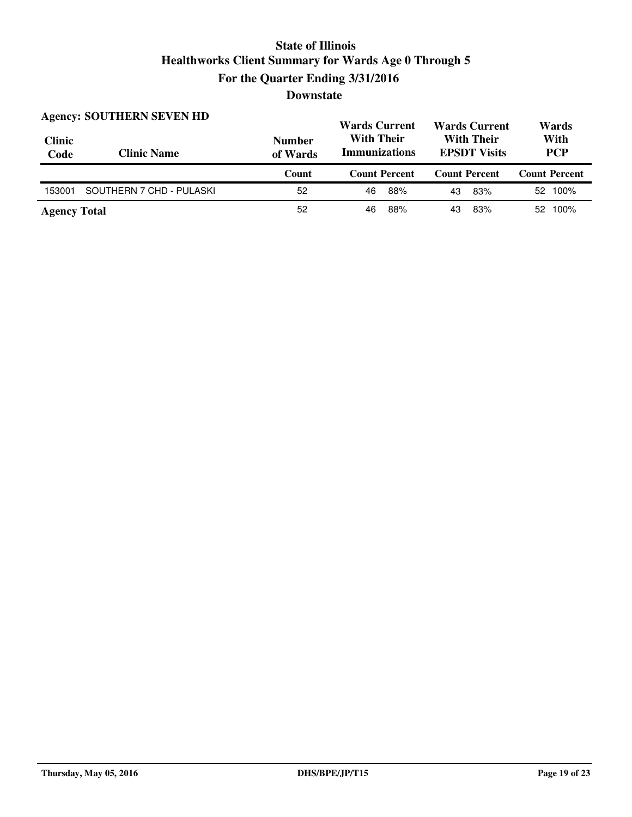| <b>Clinic</b><br>Code | <b>Agency: SOUTHERN SEVEN HD</b><br><b>Clinic Name</b> | <b>Number</b><br>of Wards | <b>Wards Current</b><br><b>With Their</b><br><b>Immunizations</b> | <b>Wards Current</b><br><b>With Their</b><br><b>EPSDT Visits</b> | Wards<br>With<br><b>PCP</b> |  |
|-----------------------|--------------------------------------------------------|---------------------------|-------------------------------------------------------------------|------------------------------------------------------------------|-----------------------------|--|
|                       |                                                        |                           |                                                                   |                                                                  |                             |  |
|                       |                                                        | Count                     | <b>Count Percent</b>                                              | <b>Count Percent</b>                                             | <b>Count Percent</b>        |  |
| 153001                | SOUTHERN 7 CHD - PULASKI                               | 52                        | 88%<br>46                                                         | 83%<br>43                                                        | 52 100%                     |  |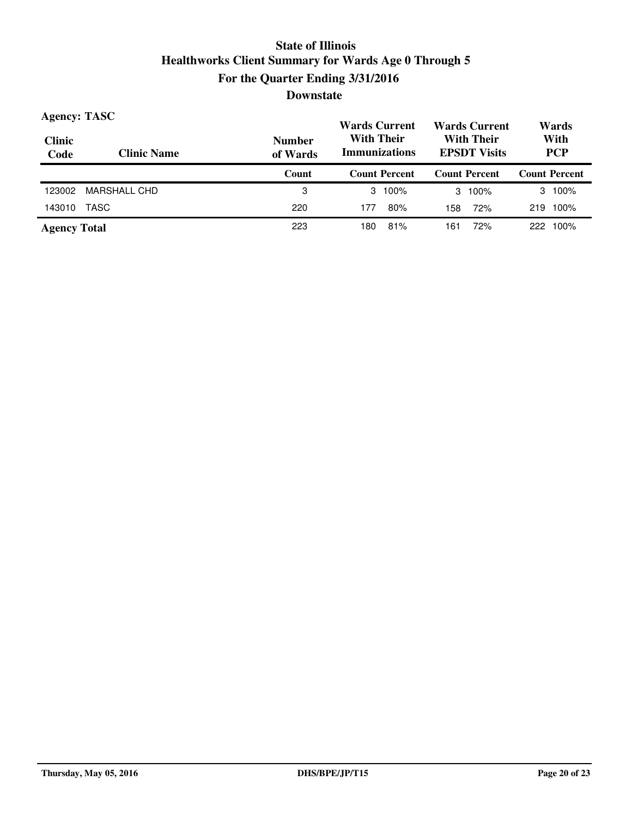| <b>Agency: TASC</b>   |                    |                           | <b>Wards Current</b>                      | <b>Wards Current</b>                     | Wards                |  |
|-----------------------|--------------------|---------------------------|-------------------------------------------|------------------------------------------|----------------------|--|
| <b>Clinic</b><br>Code | <b>Clinic Name</b> | <b>Number</b><br>of Wards | <b>With Their</b><br><b>Immunizations</b> | <b>With Their</b><br><b>EPSDT Visits</b> | With<br><b>PCP</b>   |  |
|                       |                    | Count                     | <b>Count Percent</b>                      | <b>Count Percent</b>                     | <b>Count Percent</b> |  |
| 123002                | MARSHALL CHD       | 3                         | $3 \t100\%$                               | 100%<br>3                                | 100%<br>3            |  |
| 143010                | TASC               | 220                       | 80%<br>177                                | 72%<br>158                               | 100%<br>219          |  |
| <b>Agency Total</b>   |                    | 223                       | 81%<br>180                                | 72%<br>161                               | 100%<br>222          |  |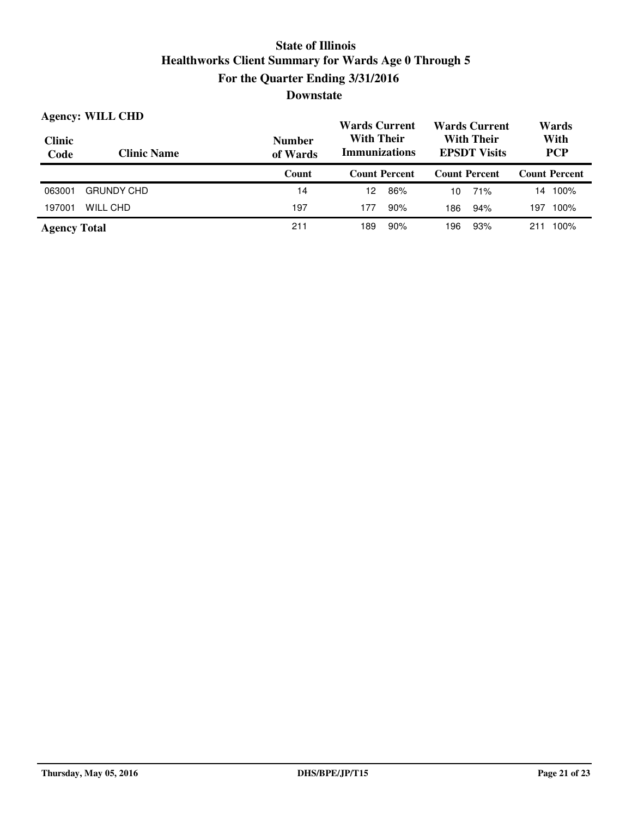| <b>Agency: WILL CHD</b> |                    |                           | <b>Wards Current</b>                                                           |     | <b>Wards Current</b> |                    | Wards                |
|-------------------------|--------------------|---------------------------|--------------------------------------------------------------------------------|-----|----------------------|--------------------|----------------------|
| <b>Clinic</b><br>Code   | <b>Clinic Name</b> | <b>Number</b><br>of Wards | <b>With Their</b><br>With Their<br><b>Immunizations</b><br><b>EPSDT Visits</b> |     |                      | With<br><b>PCP</b> |                      |
|                         |                    | Count                     | <b>Count Percent</b>                                                           |     | <b>Count Percent</b> |                    | <b>Count Percent</b> |
| 063001                  | <b>GRUNDY CHD</b>  | 14                        | 86%<br>12                                                                      | 10  | 71%                  | 14                 | 100%                 |
| 197001                  | WILL CHD           | 197                       | 90%<br>177                                                                     | 186 | 94%                  | 197                | 100%                 |
| <b>Agency Total</b>     |                    | 211                       | 90%<br>189                                                                     | 96  | 93%                  | 211                | 100%                 |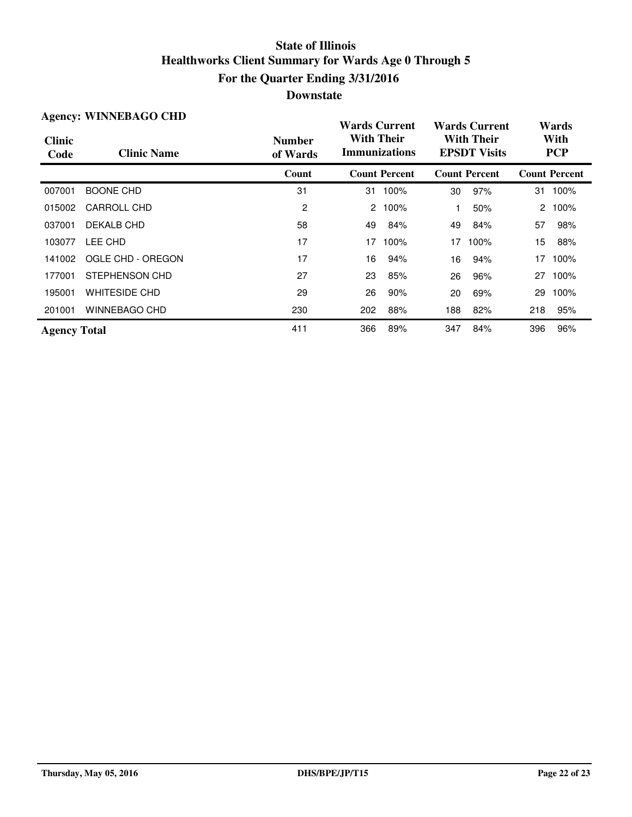| <b>Agency: WINNEBAGO CHD</b> |                      |                           | <b>Wards Current</b>                      |                      |                                          | <b>Wards Current</b> |        | Wards                |  |
|------------------------------|----------------------|---------------------------|-------------------------------------------|----------------------|------------------------------------------|----------------------|--------|----------------------|--|
| <b>Clinic</b><br>Code        | <b>Clinic Name</b>   | <b>Number</b><br>of Wards | <b>With Their</b><br><b>Immunizations</b> |                      | <b>With Their</b><br><b>EPSDT Visits</b> |                      |        | With<br><b>PCP</b>   |  |
|                              |                      | Count                     |                                           | <b>Count Percent</b> |                                          | <b>Count Percent</b> |        | <b>Count Percent</b> |  |
| 007001                       | <b>BOONE CHD</b>     | 31                        | 31                                        | 100%                 | 30                                       | 97%                  | 31     | 100%                 |  |
| 015002                       | CARROLL CHD          | 2                         | 2                                         | 100%                 |                                          | 50%                  | $^{2}$ | 100%                 |  |
| 037001                       | DEKALB CHD           | 58                        | 49                                        | 84%                  | 49                                       | 84%                  | 57     | 98%                  |  |
| 103077                       | LEE CHD              | 17                        | 17                                        | 100%                 | 17                                       | 100%                 | 15     | 88%                  |  |
| 141002                       | OGLE CHD - OREGON    | 17                        | 16                                        | 94%                  | 16                                       | 94%                  | 17     | 100%                 |  |
| 177001                       | STEPHENSON CHD       | 27                        | 23                                        | 85%                  | 26                                       | 96%                  | 27     | 100%                 |  |
| 195001                       | <b>WHITESIDE CHD</b> | 29                        | 26                                        | 90%                  | 20                                       | 69%                  | 29     | 100%                 |  |
| 201001                       | <b>WINNEBAGO CHD</b> | 230                       | 202                                       | 88%                  | 188                                      | 82%                  | 218    | 95%                  |  |
| <b>Agency Total</b>          |                      | 411                       | 366                                       | 89%                  | 347                                      | 84%                  | 396    | 96%                  |  |